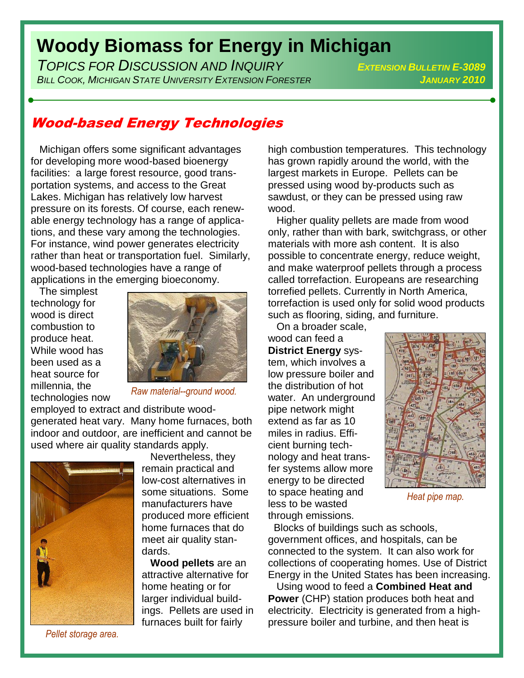## **Woody Biomass for Energy in Michigan**

*TOPICS FOR DISCUSSION AND INQUIRY <sup>E</sup>XTENSION BULLETIN E-3089 BILL COOK, MICHIGAN STATE UNIVERSITY EXTENSION FORESTER JANUARY 2010*

## Wood-based Energy Technologies

 Michigan offers some significant advantages for developing more wood-based bioenergy facilities: a large forest resource, good transportation systems, and access to the Great Lakes. Michigan has relatively low harvest pressure on its forests. Of course, each renewable energy technology has a range of applications, and these vary among the technologies. For instance, wind power generates electricity rather than heat or transportation fuel. Similarly, wood-based technologies have a range of applications in the emerging bioeconomy.

 The simplest technology for wood is direct combustion to produce heat. While wood has been used as a heat source for millennia, the technologies now



*Raw material--ground wood.*

employed to extract and distribute woodgenerated heat vary. Many home furnaces, both indoor and outdoor, are inefficient and cannot be used where air quality standards apply.



*Pellet storage area.*

 Nevertheless, they remain practical and low-cost alternatives in some situations. Some manufacturers have produced more efficient home furnaces that do meet air quality standards.

 **Wood pellets** are an attractive alternative for home heating or for larger individual buildings. Pellets are used in furnaces built for fairly

high combustion temperatures. This technology has grown rapidly around the world, with the largest markets in Europe. Pellets can be pressed using wood by-products such as sawdust, or they can be pressed using raw wood.

 Higher quality pellets are made from wood only, rather than with bark, switchgrass, or other materials with more ash content. It is also possible to concentrate energy, reduce weight, and make waterproof pellets through a process called torrefaction. Europeans are researching torrefied pellets. Currently in North America, torrefaction is used only for solid wood products such as flooring, siding, and furniture.

 On a broader scale, wood can feed a **District Energy** system, which involves a low pressure boiler and the distribution of hot water. An underground pipe network might extend as far as 10 miles in radius. Efficient burning technology and heat transfer systems allow more energy to be directed to space heating and less to be wasted through emissions.



*Heat pipe map.*

 Blocks of buildings such as schools, government offices, and hospitals, can be connected to the system. It can also work for collections of cooperating homes. Use of District Energy in the United States has been increasing.

 Using wood to feed a **Combined Heat and Power** (CHP) station produces both heat and electricity. Electricity is generated from a highpressure boiler and turbine, and then heat is